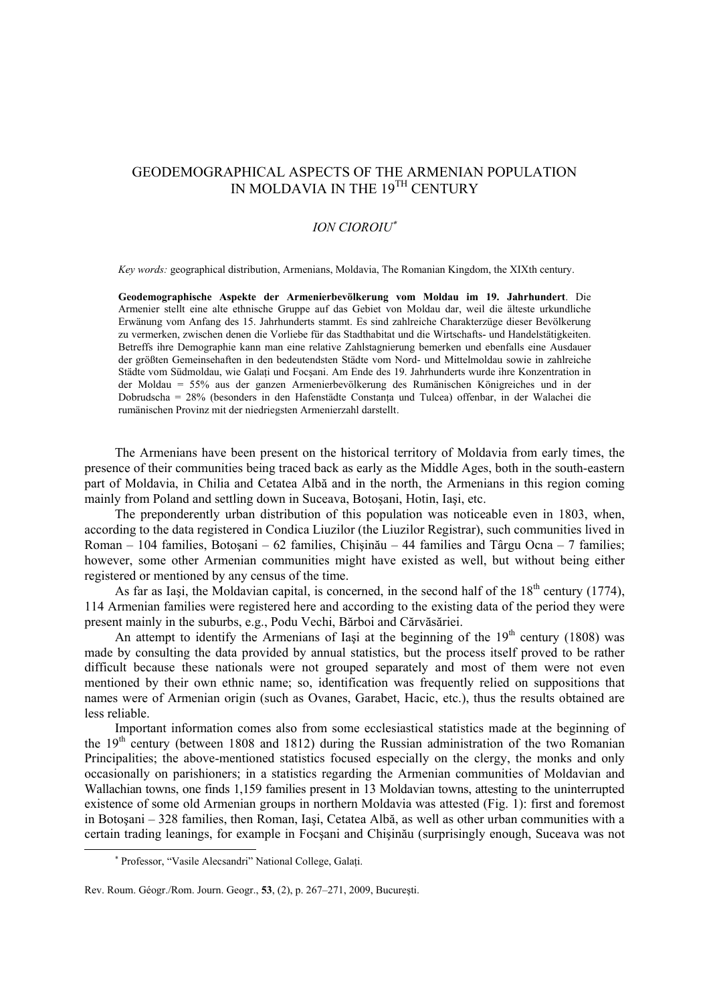## GEODEMOGRAPHICAL ASPECTS OF THE ARMENIAN POPULATION IN MOLDAVIA IN THE 19<sup>TH</sup> CENTURY

## *ION CIOROIU*<sup>∗</sup>

*Key words:* geographical distribution, Armenians, Moldavia, The Romanian Kingdom, the XIXth century.

**Geodemographische Aspekte der Armenierbevölkerung vom Moldau im 19. Jahrhundert**. Die Armenier stellt eine alte ethnische Gruppe auf das Gebiet von Moldau dar, weil die älteste urkundliche Erwänung vom Anfang des 15. Jahrhunderts stammt. Es sind zahlreiche Charakterzüge dieser Bevölkerung zu vermerken, zwischen denen die Vorliebe für das Stadthabitat und die Wirtschafts- und Handelstätigkeiten. Betreffs ihre Demographie kann man eine relative Zahlstagnierung bemerken und ebenfalls eine Ausdauer der größten Gemeinsehaften in den bedeutendsten Städte vom Nord- und Mittelmoldau sowie in zahlreiche Städte vom Südmoldau, wie Galati und Focsani. Am Ende des 19. Jahrhunderts wurde ihre Konzentration in der Moldau = 55% aus der ganzen Armenierbevölkerung des Rumänischen Königreiches und in der Dobrudscha = 28% (besonders in den Hafenstädte Constanţa und Tulcea) offenbar, in der Walachei die rumänischen Provinz mit der niedriegsten Armenierzahl darstellt.

The Armenians have been present on the historical territory of Moldavia from early times, the presence of their communities being traced back as early as the Middle Ages, both in the south-eastern part of Moldavia, in Chilia and Cetatea Albă and in the north, the Armenians in this region coming mainly from Poland and settling down in Suceava, Botoşani, Hotin, Iaşi, etc.

The preponderently urban distribution of this population was noticeable even in 1803, when, according to the data registered in Condica Liuzilor (the Liuzilor Registrar), such communities lived in Roman – 104 families, Botoşani – 62 families, Chişinău – 44 families and Târgu Ocna – 7 families; however, some other Armenian communities might have existed as well, but without being either registered or mentioned by any census of the time.

As far as Iași, the Moldavian capital, is concerned, in the second half of the  $18<sup>th</sup>$  century (1774), 114 Armenian families were registered here and according to the existing data of the period they were present mainly in the suburbs, e.g., Podu Vechi, Bărboi and Cărvăsăriei.

An attempt to identify the Armenians of Iasi at the beginning of the  $19<sup>th</sup>$  century (1808) was made by consulting the data provided by annual statistics, but the process itself proved to be rather difficult because these nationals were not grouped separately and most of them were not even mentioned by their own ethnic name; so, identification was frequently relied on suppositions that names were of Armenian origin (such as Ovanes, Garabet, Hacic, etc.), thus the results obtained are less reliable.

Important information comes also from some ecclesiastical statistics made at the beginning of the  $19<sup>th</sup>$  century (between 1808 and 1812) during the Russian administration of the two Romanian Principalities; the above-mentioned statistics focused especially on the clergy, the monks and only occasionally on parishioners; in a statistics regarding the Armenian communities of Moldavian and Wallachian towns, one finds 1,159 families present in 13 Moldavian towns, attesting to the uninterrupted existence of some old Armenian groups in northern Moldavia was attested (Fig. 1): first and foremost in Botoşani – 328 families, then Roman, Iaşi, Cetatea Albă, as well as other urban communities with a certain trading leanings, for example in Focşani and Chişinău (surprisingly enough, Suceava was not

 $\overline{a}$ 

<sup>∗</sup> Professor, "Vasile Alecsandri" National College, Galaţi.

Rev. Roum. Géogr./Rom. Journ. Geogr., **53**, (2), p. 267–271, 2009, Bucureşti.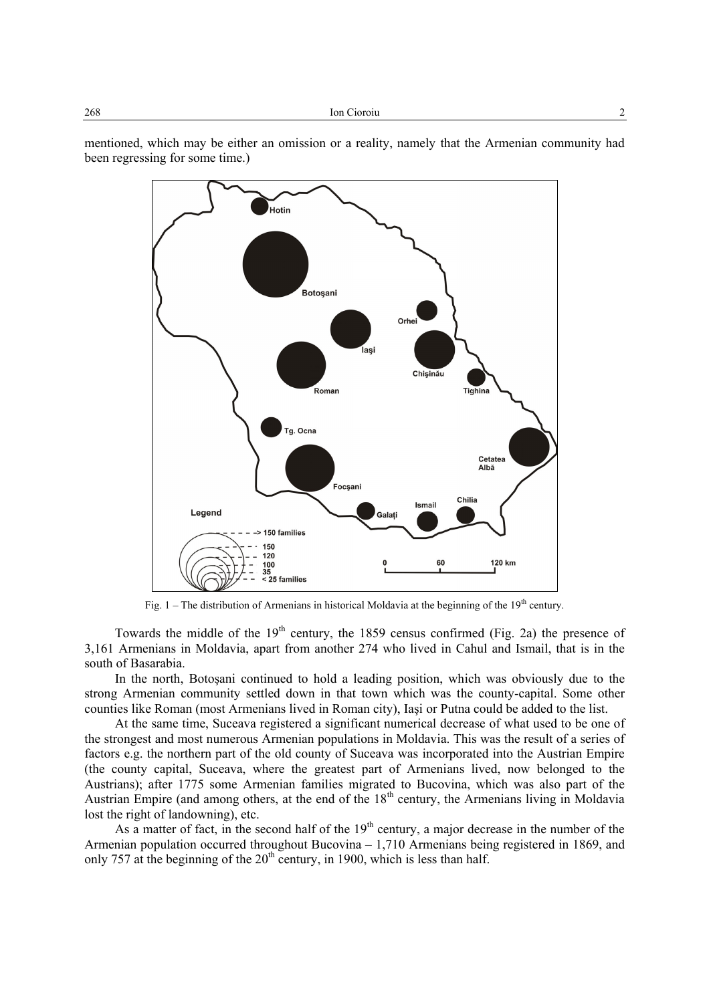mentioned, which may be either an omission or a reality, namely that the Armenian community had been regressing for some time.)



Fig.  $1$  – The distribution of Armenians in historical Moldavia at the beginning of the  $19<sup>th</sup>$  century.

Towards the middle of the  $19<sup>th</sup>$  century, the 1859 census confirmed (Fig. 2a) the presence of 3,161 Armenians in Moldavia, apart from another 274 who lived in Cahul and Ismail, that is in the south of Basarabia.

In the north, Botoşani continued to hold a leading position, which was obviously due to the strong Armenian community settled down in that town which was the county-capital. Some other counties like Roman (most Armenians lived in Roman city), Iaşi or Putna could be added to the list.

At the same time, Suceava registered a significant numerical decrease of what used to be one of the strongest and most numerous Armenian populations in Moldavia. This was the result of a series of factors e.g. the northern part of the old county of Suceava was incorporated into the Austrian Empire (the county capital, Suceava, where the greatest part of Armenians lived, now belonged to the Austrians); after 1775 some Armenian families migrated to Bucovina, which was also part of the Austrian Empire (and among others, at the end of the  $18<sup>th</sup>$  century, the Armenians living in Moldavia lost the right of landowning), etc.

As a matter of fact, in the second half of the  $19<sup>th</sup>$  century, a major decrease in the number of the Armenian population occurred throughout Bucovina – 1,710 Armenians being registered in 1869, and only 757 at the beginning of the  $20<sup>th</sup>$  century, in 1900, which is less than half.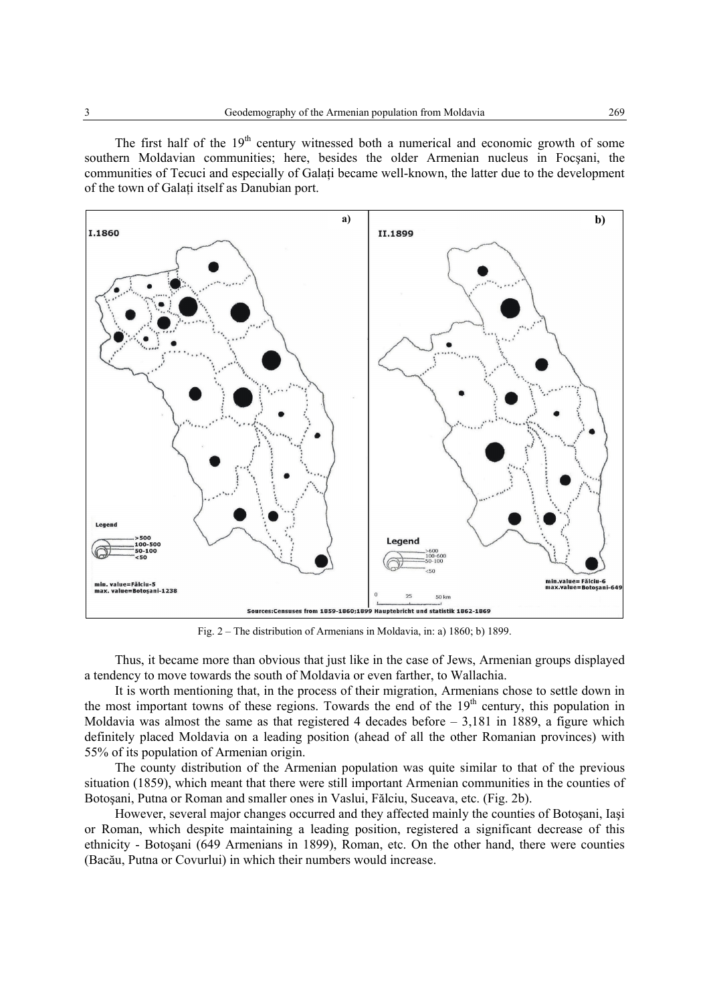The first half of the  $19<sup>th</sup>$  century witnessed both a numerical and economic growth of some southern Moldavian communities; here, besides the older Armenian nucleus in Focşani, the communities of Tecuci and especially of Galati became well-known, the latter due to the development of the town of Galaţi itself as Danubian port.



Fig. 2 – The distribution of Armenians in Moldavia, in: a) 1860; b) 1899.

Thus, it became more than obvious that just like in the case of Jews, Armenian groups displayed a tendency to move towards the south of Moldavia or even farther, to Wallachia.

It is worth mentioning that, in the process of their migration, Armenians chose to settle down in the most important towns of these regions. Towards the end of the  $19<sup>th</sup>$  century, this population in Moldavia was almost the same as that registered 4 decades before – 3,181 in 1889, a figure which definitely placed Moldavia on a leading position (ahead of all the other Romanian provinces) with 55% of its population of Armenian origin.

The county distribution of the Armenian population was quite similar to that of the previous situation (1859), which meant that there were still important Armenian communities in the counties of Botoşani, Putna or Roman and smaller ones in Vaslui, Fălciu, Suceava, etc. (Fig. 2b).

However, several major changes occurred and they affected mainly the counties of Botoşani, Iaşi or Roman, which despite maintaining a leading position, registered a significant decrease of this ethnicity - Botoşani (649 Armenians in 1899), Roman, etc. On the other hand, there were counties (Bacău, Putna or Covurlui) in which their numbers would increase.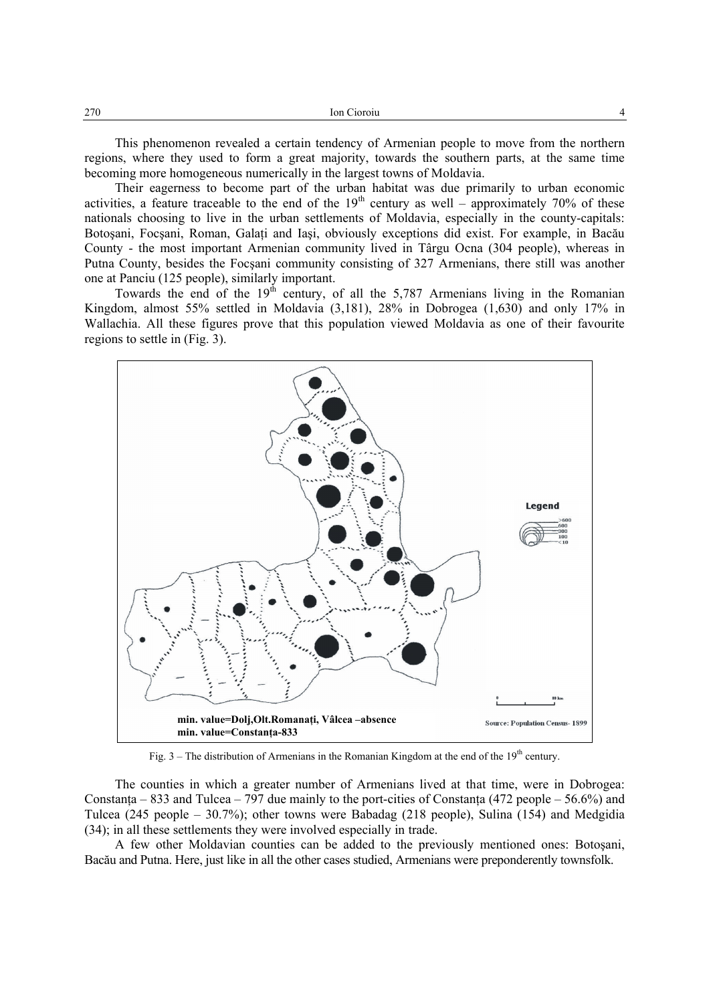This phenomenon revealed a certain tendency of Armenian people to move from the northern regions, where they used to form a great majority, towards the southern parts, at the same time becoming more homogeneous numerically in the largest towns of Moldavia.

Their eagerness to become part of the urban habitat was due primarily to urban economic activities, a feature traceable to the end of the  $19<sup>th</sup>$  century as well – approximately 70% of these nationals choosing to live in the urban settlements of Moldavia, especially in the county-capitals: Botosani, Focsani, Roman, Galati and Iași, obviously exceptions did exist. For example, in Bacău County - the most important Armenian community lived in Târgu Ocna (304 people), whereas in Putna County, besides the Focşani community consisting of 327 Armenians, there still was another one at Panciu (125 people), similarly important.

Towards the end of the  $19<sup>th</sup>$  century, of all the 5,787 Armenians living in the Romanian Kingdom, almost 55% settled in Moldavia (3,181), 28% in Dobrogea (1,630) and only 17% in Wallachia. All these figures prove that this population viewed Moldavia as one of their favourite regions to settle in (Fig. 3).



Fig.  $3$  – The distribution of Armenians in the Romanian Kingdom at the end of the  $19<sup>th</sup>$  century.

The counties in which a greater number of Armenians lived at that time, were in Dobrogea: Constanta – 833 and Tulcea – 797 due mainly to the port-cities of Constanta (472 people – 56.6%) and Tulcea (245 people – 30.7%); other towns were Babadag (218 people), Sulina (154) and Medgidia (34); in all these settlements they were involved especially in trade.

A few other Moldavian counties can be added to the previously mentioned ones: Botoşani, Bacău and Putna. Here, just like in all the other cases studied, Armenians were preponderently townsfolk.